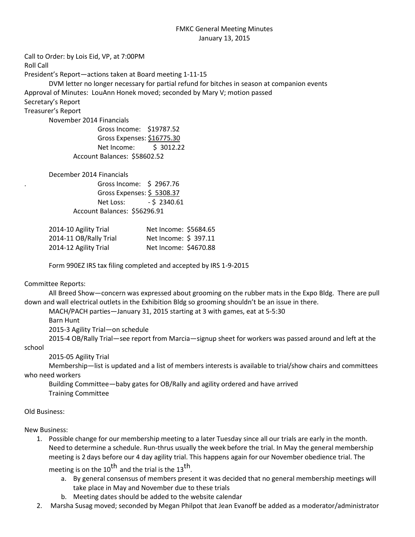## FMKC General Meeting Minutes January 13, 2015

Call to Order: by Lois Eid, VP, at 7:00PM Roll Call President's Report—actions taken at Board meeting 1-11-15 DVM letter no longer necessary for partial refund for bitches in season at companion events Approval of Minutes: LouAnn Honek moved; seconded by Mary V; motion passed Secretary's Report Treasurer's Report November 2014 Financials Gross Income: \$19787.52 Gross Expenses: \$16775.30 Net Income: \$ 3012.22 Account Balances: \$58602.52 December 2014 Financials . Gross Income: \$ 2967.76

Gross Expenses: \$ 5308.37 Net Loss: - \$ 2340.61 Account Balances: \$56296.91

| 2014-10 Agility Trial  | Net Income: \$5684.65 |  |
|------------------------|-----------------------|--|
| 2014-11 OB/Rally Trial | Net Income: \$ 397.11 |  |
| 2014-12 Agility Trial  | Net Income: \$4670.88 |  |

Form 990EZ IRS tax filing completed and accepted by IRS 1-9-2015

## Committee Reports:

All Breed Show—concern was expressed about grooming on the rubber mats in the Expo Bldg. There are pull down and wall electrical outlets in the Exhibition Bldg so grooming shouldn't be an issue in there.

MACH/PACH parties—January 31, 2015 starting at 3 with games, eat at 5-5:30 Barn Hunt 2015-3 Agility Trial—on schedule

2015-4 OB/Rally Trial—see report from Marcia—signup sheet for workers was passed around and left at the

school

2015-05 Agility Trial

Membership—list is updated and a list of members interests is available to trial/show chairs and committees who need workers

Building Committee—baby gates for OB/Rally and agility ordered and have arrived Training Committee

Old Business:

New Business:

1. Possible change for our membership meeting to a later Tuesday since all our trials are early in the month. Need to determine a schedule. Run-thrus usually the week before the trial. In May the general membership meeting is 2 days before our 4 day agility trial. This happens again for our November obedience trial. The

meeting is on the 10<sup>th</sup> and the trial is the 13<sup>th</sup>.

- a. By general consensus of members present it was decided that no general membership meetings will take place in May and November due to these trials
- b. Meeting dates should be added to the website calendar
- 2. Marsha Susag moved; seconded by Megan Philpot that Jean Evanoff be added as a moderator/administrator